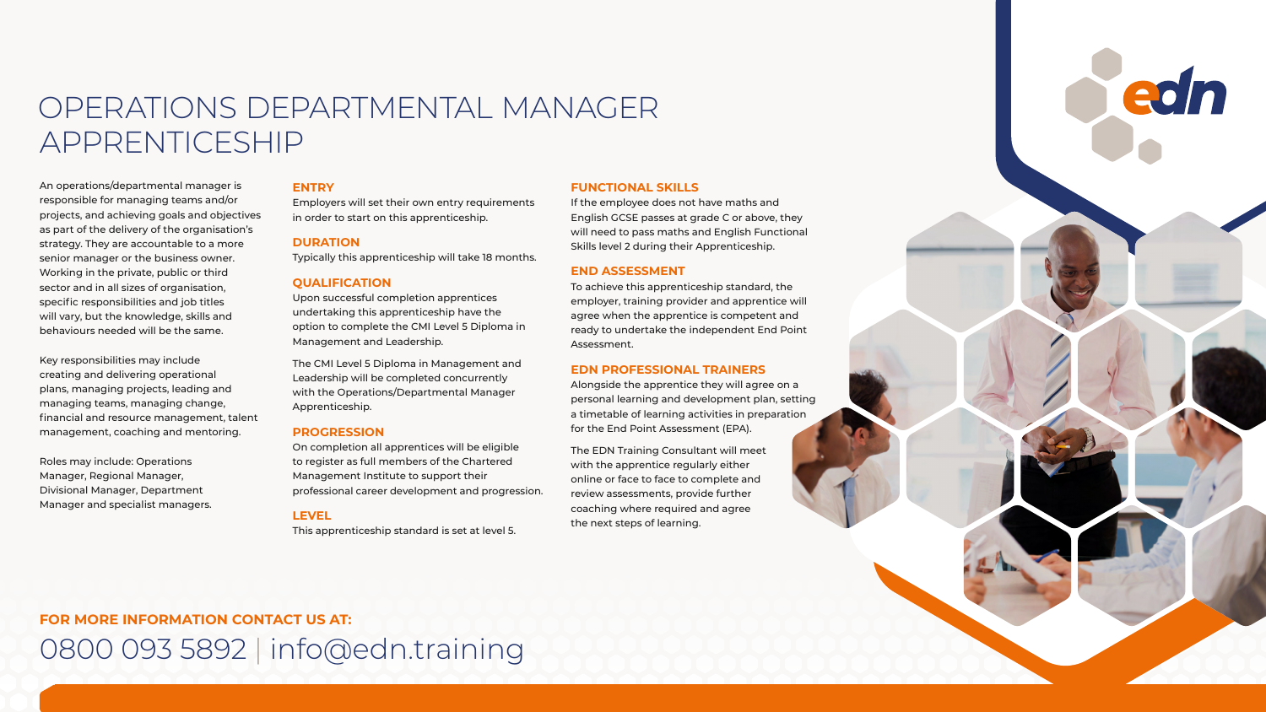## **FOR MORE INFORMATION CONTACT US AT:** 0800 093 5892 | info@edn.training

## OPERATIONS DEPARTMENTAL MANAGER APPRENTICESHIP

An operations/departmental manager is responsible for managing teams and/or projects, and achieving goals and objectives as part of the delivery of the organisation's strategy. They are accountable to a more senior manager or the business owner. Working in the private, public or third sector and in all sizes of organisation, specific responsibilities and job titles will vary, but the knowledge, skills and behaviours needed will be the same.

Key responsibilities may include creating and delivering operational plans, managing projects, leading and managing teams, managing change, financial and resource management, talent management, coaching and mentoring.

Roles may include: Operations Manager, Regional Manager, Divisional Manager, Department Manager and specialist managers.

### **ENTRY**

Employers will set their own entry requirements in order to start on this apprenticeship.

### **DURATION**

Typically this apprenticeship will take 18 months.

### **QUALIFICATION**

Upon successful completion apprentices undertaking this apprenticeship have the option to complete the CMI Level 5 Diploma in Management and Leadership.

The CMI Level 5 Diploma in Management and Leadership will be completed concurrently with the Operations/Departmental Manager Apprenticeship.

### **PROGRESSION**

On completion all apprentices will be eligible to register as full members of the Chartered Management Institute to support their professional career development and progression.

### **LEVEL**

This apprenticeship standard is set at level 5.

### **FUNCTIONAL SKILLS**

If the employee does not have maths and English GCSE passes at grade C or above, they will need to pass maths and English Functional Skills level 2 during their Apprenticeship.

### **END ASSESSMENT**

To achieve this apprenticeship standard, the employer, training provider and apprentice will agree when the apprentice is competent and ready to undertake the independent End Point Assessment.

### **EDN PROFESSIONAL TRAINERS**

Alongside the apprentice they will agree on a personal learning and development plan, setting a timetable of learning activities in preparation for the End Point Assessment (EPA).











The EDN Training Consultant will meet with the apprentice regularly either online or face to face to complete and review assessments, provide further coaching where required and agree the next steps of learning.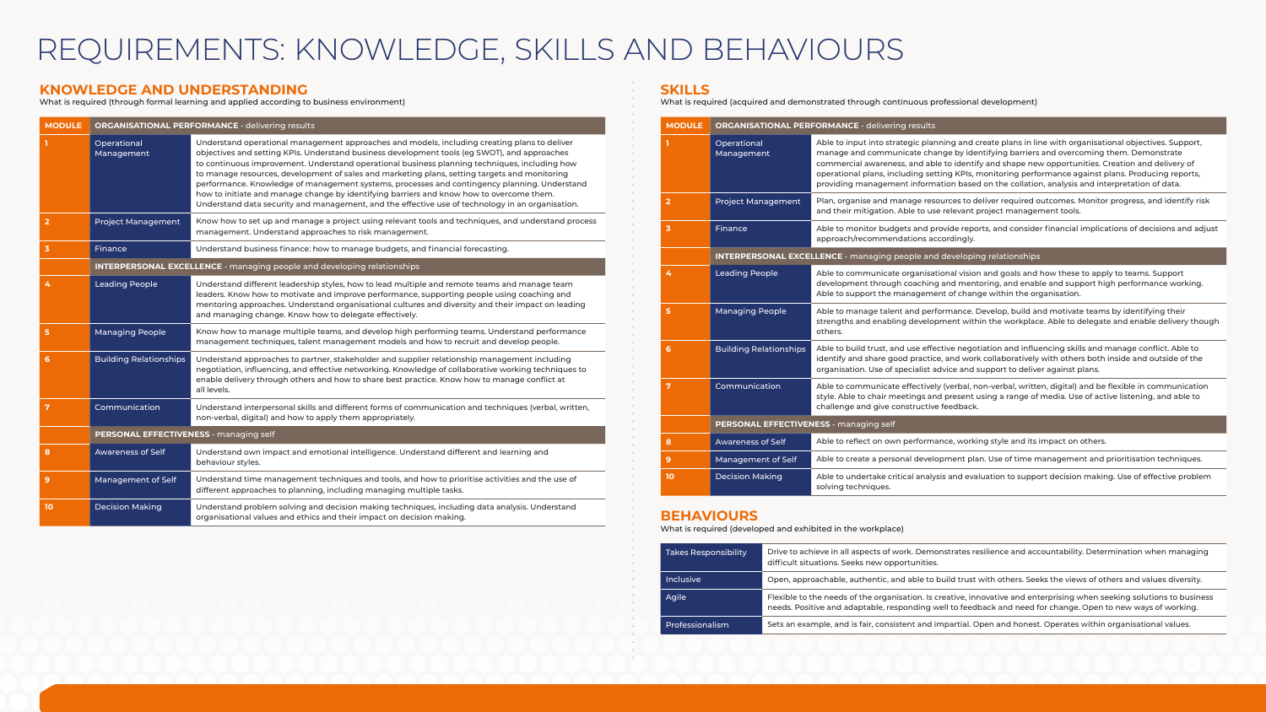## **KNOWLEDGE AND UNDERSTANDING**

What is required (through formal learning and applied according to business environment)

## **SKILLS**

What is required (acquired and demonstrated through continuous professional development)

| <b>MODULE</b>                                                                    |                               | <b>ORGANISATIONAL PERFORMANCE - delivering results</b>                         |                                                                                                                                                                                                                                                                                                                                                                                                                                                                                                               |  |  |  |
|----------------------------------------------------------------------------------|-------------------------------|--------------------------------------------------------------------------------|---------------------------------------------------------------------------------------------------------------------------------------------------------------------------------------------------------------------------------------------------------------------------------------------------------------------------------------------------------------------------------------------------------------------------------------------------------------------------------------------------------------|--|--|--|
|                                                                                  | Operational<br>Management     |                                                                                | Able to input into strategic planning and create plans in line with organisational objectives. Support,<br>manage and communicate change by identifying barriers and overcoming them. Demonstrate<br>commercial awareness, and able to identify and shape new opportunities. Creation and delivery of<br>operational plans, including setting KPIs, monitoring performance against plans. Producing reports,<br>providing management information based on the collation, analysis and interpretation of data. |  |  |  |
| $\overline{2}$                                                                   | <b>Project Management</b>     |                                                                                | Plan, organise and manage resources to deliver required outcomes. Monitor progress, and identify risk<br>and their mitigation. Able to use relevant project management tools.                                                                                                                                                                                                                                                                                                                                 |  |  |  |
| $\overline{\mathbf{3}}$                                                          | Finance                       |                                                                                | Able to monitor budgets and provide reports, and consider financial implications of decisions and adjust<br>approach/recommendations accordingly.                                                                                                                                                                                                                                                                                                                                                             |  |  |  |
|                                                                                  |                               | <b>INTERPERSONAL EXCELLENCE</b> - managing people and developing relationships |                                                                                                                                                                                                                                                                                                                                                                                                                                                                                                               |  |  |  |
| 4                                                                                | <b>Leading People</b>         |                                                                                | Able to communicate organisational vision and goals and how these to apply to teams. Support<br>development through coaching and mentoring, and enable and support high performance working.<br>Able to support the management of change within the organisation.                                                                                                                                                                                                                                             |  |  |  |
| 5                                                                                | <b>Managing People</b>        |                                                                                | Able to manage talent and performance. Develop, build and motivate teams by identifying their<br>strengths and enabling development within the workplace. Able to delegate and enable delivery though<br>others.                                                                                                                                                                                                                                                                                              |  |  |  |
| 6                                                                                | <b>Building Relationships</b> |                                                                                | Able to build trust, and use effective negotiation and influencing skills and manage conflict. Able to<br>identify and share good practice, and work collaboratively with others both inside and outside of the<br>organisation. Use of specialist advice and support to deliver against plans.                                                                                                                                                                                                               |  |  |  |
| $\overline{7}$                                                                   | Communication                 |                                                                                | Able to communicate effectively (verbal, non-verbal, written, digital) and be flexible in communication<br>style. Able to chair meetings and present using a range of media. Use of active listening, and able to<br>challenge and give constructive feedback.                                                                                                                                                                                                                                                |  |  |  |
|                                                                                  |                               | PERSONAL EFFECTIVENESS - managing self                                         |                                                                                                                                                                                                                                                                                                                                                                                                                                                                                                               |  |  |  |
| 8                                                                                | <b>Awareness of Self</b>      |                                                                                | Able to reflect on own performance, working style and its impact on others.                                                                                                                                                                                                                                                                                                                                                                                                                                   |  |  |  |
| 9                                                                                | Management of Self            |                                                                                | Able to create a personal development plan. Use of time management and prioritisation techniques.                                                                                                                                                                                                                                                                                                                                                                                                             |  |  |  |
| 10                                                                               | <b>Decision Making</b>        |                                                                                | Able to undertake critical analysis and evaluation to support decision making. Use of effective problem<br>solving techniques.                                                                                                                                                                                                                                                                                                                                                                                |  |  |  |
| <b>BEHAVIOURS</b><br>What is required (developed and exhibited in the workplace) |                               |                                                                                |                                                                                                                                                                                                                                                                                                                                                                                                                                                                                                               |  |  |  |
| <b>Takes Responsibility</b>                                                      |                               |                                                                                | Drive to achieve in all aspects of work. Demonstrates resilience and accountability. Determination when managing<br>difficult situations. Seeks new opportunities.                                                                                                                                                                                                                                                                                                                                            |  |  |  |
| Inclusive                                                                        |                               |                                                                                | Open, approachable, authentic, and able to build trust with others. Seeks the views of others and values diversity.                                                                                                                                                                                                                                                                                                                                                                                           |  |  |  |
| Agile                                                                            |                               |                                                                                | Flexible to the needs of the organisation. Is creative, innovative and enterprising when seeking solutions to business<br>needs. Positive and adaptable, responding well to feedback and need for change. Open to new ways of working.                                                                                                                                                                                                                                                                        |  |  |  |
| Professionalism                                                                  |                               |                                                                                | Sets an example, and is fair, consistent and impartial. Open and honest. Operates within organisational values.                                                                                                                                                                                                                                                                                                                                                                                               |  |  |  |
|                                                                                  |                               |                                                                                |                                                                                                                                                                                                                                                                                                                                                                                                                                                                                                               |  |  |  |

 $\sim 10^{-11}$  $\mathbf{r}$  $\sim$  0.0  $\pm$ 

 $\sim$   $\sim$ 

| <b>Takes Responsibility</b> | Drive to achieve in all aspects of work. Demonstrates resilience and accountability. Determination when man<br>difficult situations. Seeks new opportunities.                                                                 |
|-----------------------------|-------------------------------------------------------------------------------------------------------------------------------------------------------------------------------------------------------------------------------|
| <b>Inclusive</b>            | Open, approachable, authentic, and able to build trust with others. Seeks the views of others and values diver                                                                                                                |
| Agile                       | Flexible to the needs of the organisation. Is creative, innovative and enterprising when seeking solutions to be<br>needs. Positive and adaptable, responding well to feedback and need for change. Open to new ways of worki |
| Professionalism             | Sets an example, and is fair, consistent and impartial. Open and honest. Operates within organisational values                                                                                                                |

| <b>MODULE</b>           | <b>ORGANISATIONAL PERFORMANCE - delivering results</b>                         |                                                                                                                                                                                                                                                                                                                                                                                                                                                                                                                                                                                                                                                                                                |  |
|-------------------------|--------------------------------------------------------------------------------|------------------------------------------------------------------------------------------------------------------------------------------------------------------------------------------------------------------------------------------------------------------------------------------------------------------------------------------------------------------------------------------------------------------------------------------------------------------------------------------------------------------------------------------------------------------------------------------------------------------------------------------------------------------------------------------------|--|
|                         | Operational<br>Management                                                      | Understand operational management approaches and models, including creating plans to deliver<br>objectives and setting KPIs. Understand business development tools (eg SWOT), and approaches<br>to continuous improvement. Understand operational business planning techniques, including how<br>to manage resources, development of sales and marketing plans, setting targets and monitoring<br>performance. Knowledge of management systems, processes and contingency planning. Understand<br>how to initiate and manage change by identifying barriers and know how to overcome them.<br>Understand data security and management, and the effective use of technology in an organisation. |  |
| $\overline{2}$          | <b>Project Management</b>                                                      | Know how to set up and manage a project using relevant tools and techniques, and understand process<br>management. Understand approaches to risk management.                                                                                                                                                                                                                                                                                                                                                                                                                                                                                                                                   |  |
| $\overline{\mathbf{3}}$ | Finance                                                                        | Understand business finance: how to manage budgets, and financial forecasting.                                                                                                                                                                                                                                                                                                                                                                                                                                                                                                                                                                                                                 |  |
|                         | <b>INTERPERSONAL EXCELLENCE</b> - managing people and developing relationships |                                                                                                                                                                                                                                                                                                                                                                                                                                                                                                                                                                                                                                                                                                |  |
| 4                       | <b>Leading People</b>                                                          | Understand different leadership styles, how to lead multiple and remote teams and manage team<br>leaders. Know how to motivate and improve performance, supporting people using coaching and<br>mentoring approaches. Understand organisational cultures and diversity and their impact on leading<br>and managing change. Know how to delegate effectively.                                                                                                                                                                                                                                                                                                                                   |  |
| 5                       | <b>Managing People</b>                                                         | Know how to manage multiple teams, and develop high performing teams. Understand performance<br>management techniques, talent management models and how to recruit and develop people.                                                                                                                                                                                                                                                                                                                                                                                                                                                                                                         |  |
| 6                       | <b>Building Relationships</b>                                                  | Understand approaches to partner, stakeholder and supplier relationship management including<br>negotiation, influencing, and effective networking. Knowledge of collaborative working techniques to<br>enable delivery through others and how to share best practice. Know how to manage conflict at<br>all levels.                                                                                                                                                                                                                                                                                                                                                                           |  |
| 7                       | Communication                                                                  | Understand interpersonal skills and different forms of communication and techniques (verbal, written,<br>non-verbal, digital) and how to apply them appropriately.                                                                                                                                                                                                                                                                                                                                                                                                                                                                                                                             |  |
|                         | PERSONAL EFFECTIVENESS - managing self                                         |                                                                                                                                                                                                                                                                                                                                                                                                                                                                                                                                                                                                                                                                                                |  |
| 8                       | <b>Awareness of Self</b>                                                       | Understand own impact and emotional intelligence. Understand different and learning and<br>behaviour styles.                                                                                                                                                                                                                                                                                                                                                                                                                                                                                                                                                                                   |  |
| 9                       | Management of Self                                                             | Understand time management techniques and tools, and how to prioritise activities and the use of<br>different approaches to planning, including managing multiple tasks.                                                                                                                                                                                                                                                                                                                                                                                                                                                                                                                       |  |
| 10                      | <b>Decision Making</b>                                                         | Understand problem solving and decision making techniques, including data analysis. Understand<br>organisational values and ethics and their impact on decision making.                                                                                                                                                                                                                                                                                                                                                                                                                                                                                                                        |  |

## REQUIREMENTS: KNOWLEDGE, SKILLS AND BEHAVIOURS